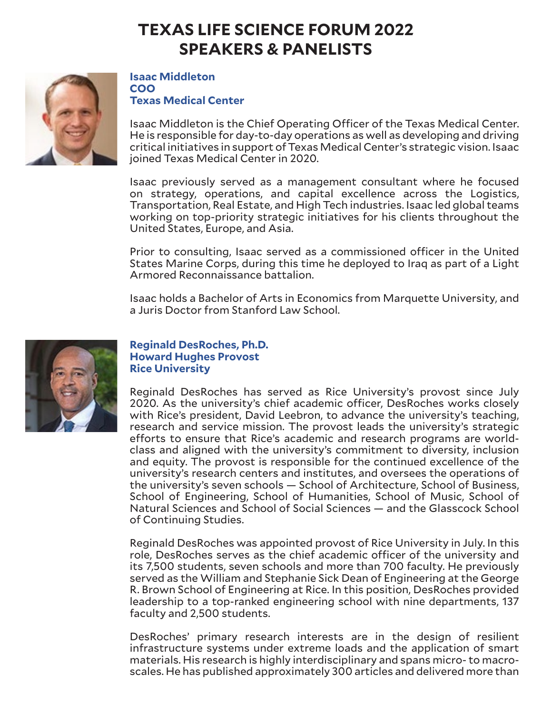

### **Isaac Middleton COO Texas Medical Center**

Isaac Middleton is the Chief Operating Officer of the Texas Medical Center. He is responsible for day-to-day operations as well as developing and driving critical initiatives in support of Texas Medical Center's strategic vision. Isaac joined Texas Medical Center in 2020.

Isaac previously served as a management consultant where he focused on strategy, operations, and capital excellence across the Logistics, Transportation, Real Estate, and High Tech industries. Isaac led global teams working on top-priority strategic initiatives for his clients throughout the United States, Europe, and Asia.

Prior to consulting, Isaac served as a commissioned officer in the United States Marine Corps, during this time he deployed to Iraq as part of a Light Armored Reconnaissance battalion.

Isaac holds a Bachelor of Arts in Economics from Marquette University, and a Juris Doctor from Stanford Law School.



## **Reginald DesRoches, Ph.D. Howard Hughes Provost Rice University**

Reginald DesRoches has served as Rice University's provost since July 2020. As the university's chief academic officer, DesRoches works closely with Rice's president, David Leebron, to advance the university's teaching, research and service mission. The provost leads the university's strategic efforts to ensure that Rice's academic and research programs are worldclass and aligned with the university's commitment to diversity, inclusion and equity. The provost is responsible for the continued excellence of the university's research centers and institutes, and oversees the operations of the university's seven schools — School of Architecture, School of Business, School of Engineering, School of Humanities, School of Music, School of Natural Sciences and School of Social Sciences — and the Glasscock School of Continuing Studies.

Reginald DesRoches was appointed provost of Rice University in July. In this role, DesRoches serves as the chief academic officer of the university and its 7,500 students, seven schools and more than 700 faculty. He previously served as the William and Stephanie Sick Dean of Engineering at the George R. Brown School of Engineering at Rice. In this position, DesRoches provided leadership to a top-ranked engineering school with nine departments, 137 faculty and 2,500 students.

DesRoches' primary research interests are in the design of resilient infrastructure systems under extreme loads and the application of smart materials. His research is highly interdisciplinary and spans micro- to macroscales. He has published approximately 300 articles and delivered more than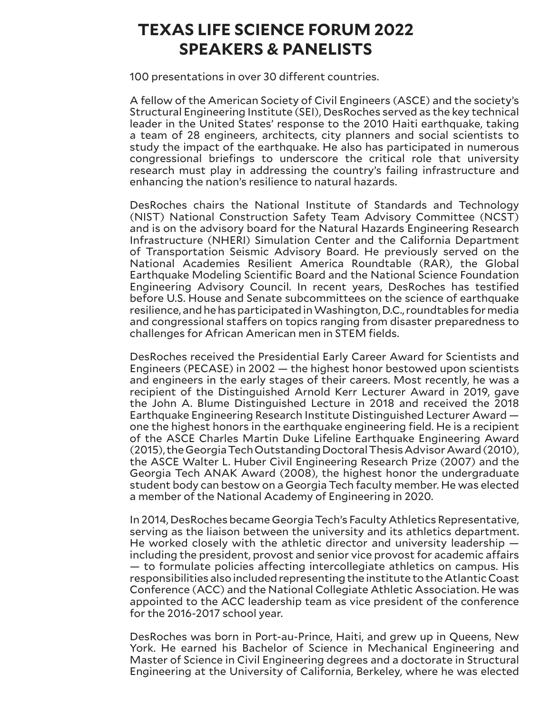100 presentations in over 30 different countries.

A fellow of the American Society of Civil Engineers (ASCE) and the society's Structural Engineering Institute (SEI), DesRoches served as the key technical leader in the United States' response to the 2010 Haiti earthquake, taking a team of 28 engineers, architects, city planners and social scientists to study the impact of the earthquake. He also has participated in numerous congressional briefings to underscore the critical role that university research must play in addressing the country's failing infrastructure and enhancing the nation's resilience to natural hazards.

DesRoches chairs the National Institute of Standards and Technology (NIST) National Construction Safety Team Advisory Committee (NCST) and is on the advisory board for the Natural Hazards Engineering Research Infrastructure (NHERI) Simulation Center and the California Department of Transportation Seismic Advisory Board. He previously served on the National Academies Resilient America Roundtable (RAR), the Global Earthquake Modeling Scientific Board and the National Science Foundation Engineering Advisory Council. In recent years, DesRoches has testified before U.S. House and Senate subcommittees on the science of earthquake resilience, and he has participated in Washington, D.C., roundtables for media and congressional staffers on topics ranging from disaster preparedness to challenges for African American men in STEM fields.

DesRoches received the Presidential Early Career Award for Scientists and Engineers (PECASE) in 2002 — the highest honor bestowed upon scientists and engineers in the early stages of their careers. Most recently, he was a recipient of the Distinguished Arnold Kerr Lecturer Award in 2019, gave the John A. Blume Distinguished Lecture in 2018 and received the 2018 Earthquake Engineering Research Institute Distinguished Lecturer Award one the highest honors in the earthquake engineering field. He is a recipient of the ASCE Charles Martin Duke Lifeline Earthquake Engineering Award (2015), the Georgia Tech Outstanding Doctoral Thesis Advisor Award (2010), the ASCE Walter L. Huber Civil Engineering Research Prize (2007) and the Georgia Tech ANAK Award (2008), the highest honor the undergraduate student body can bestow on a Georgia Tech faculty member. He was elected a member of the National Academy of Engineering in 2020.

In 2014, DesRoches became Georgia Tech's Faculty Athletics Representative, serving as the liaison between the university and its athletics department. He worked closely with the athletic director and university leadership including the president, provost and senior vice provost for academic affairs — to formulate policies affecting intercollegiate athletics on campus. His responsibilities also included representing the institute to the Atlantic Coast Conference (ACC) and the National Collegiate Athletic Association. He was appointed to the ACC leadership team as vice president of the conference for the 2016-2017 school year.

DesRoches was born in Port-au-Prince, Haiti, and grew up in Queens, New York. He earned his Bachelor of Science in Mechanical Engineering and Master of Science in Civil Engineering degrees and a doctorate in Structural Engineering at the University of California, Berkeley, where he was elected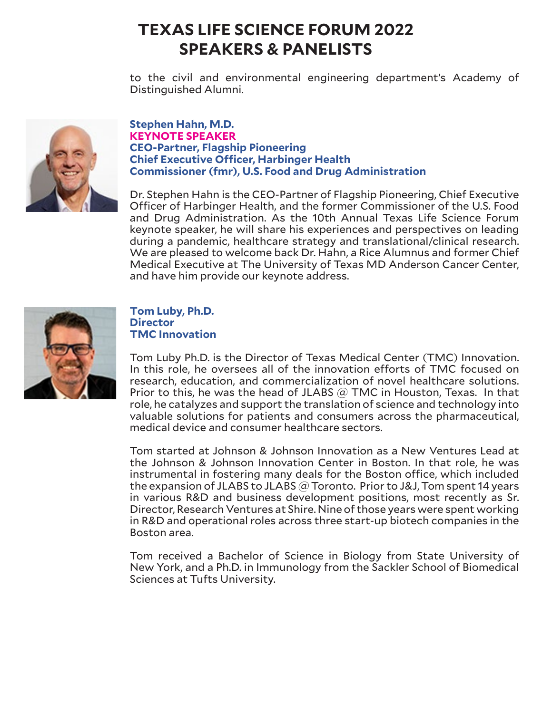to the civil and environmental engineering department's Academy of Distinguished Alumni.



### **Stephen Hahn, M.D. KEYNOTE SPEAKER CEO-Partner, Flagship Pioneering Chief Executive Officer, Harbinger Health Commissioner (fmr), U.S. Food and Drug Administration**

Dr. Stephen Hahn is the CEO-Partner of Flagship Pioneering, Chief Executive Officer of Harbinger Health, and the former Commissioner of the U.S. Food and Drug Administration. As the 10th Annual Texas Life Science Forum keynote speaker, he will share his experiences and perspectives on leading during a pandemic, healthcare strategy and translational/clinical research. We are pleased to welcome back Dr. Hahn, a Rice Alumnus and former Chief Medical Executive at The University of Texas MD Anderson Cancer Center, and have him provide our keynote address.



## **Tom Luby, Ph.D. Director TMC Innovation**

Tom Luby Ph.D. is the Director of Texas Medical Center (TMC) Innovation. In this role, he oversees all of the innovation efforts of TMC focused on research, education, and commercialization of novel healthcare solutions. Prior to this, he was the head of JLABS  $\widehat{\omega}$  TMC in Houston, Texas. In that role, he catalyzes and support the translation of science and technology into valuable solutions for patients and consumers across the pharmaceutical, medical device and consumer healthcare sectors.

Tom started at Johnson & Johnson Innovation as a New Ventures Lead at the Johnson & Johnson Innovation Center in Boston. In that role, he was instrumental in fostering many deals for the Boston office, which included the expansion of JLABS to JLABS @ Toronto. Prior to J&J, Tom spent 14 years in various R&D and business development positions, most recently as Sr. Director, Research Ventures at Shire. Nine of those years were spent working in R&D and operational roles across three start-up biotech companies in the Boston area.

Tom received a Bachelor of Science in Biology from State University of New York, and a Ph.D. in Immunology from the Sackler School of Biomedical Sciences at Tufts University.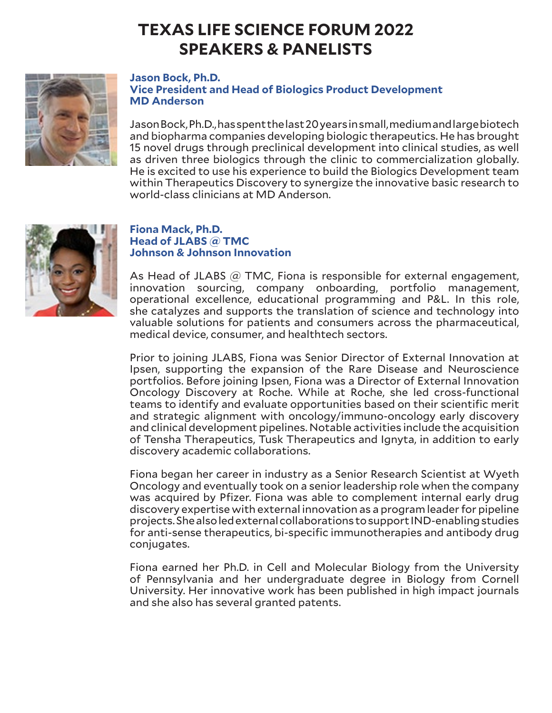

### **Jason Bock, Ph.D. Vice President and Head of Biologics Product Development MD Anderson**

Jason Bock, Ph.D., has spent the last 20 years in small, medium and large biotech and biopharma companies developing biologic therapeutics. He has brought 15 novel drugs through preclinical development into clinical studies, as well as driven three biologics through the clinic to commercialization globally. He is excited to use his experience to build the Biologics Development team within Therapeutics Discovery to synergize the innovative basic research to world-class clinicians at MD Anderson.



## **Fiona Mack, Ph.D. Head of JLABS @ TMC Johnson & Johnson Innovation**

As Head of JLABS  $@$  TMC, Fiona is responsible for external engagement, innovation sourcing, company onboarding, portfolio management, operational excellence, educational programming and P&L. In this role, she catalyzes and supports the translation of science and technology into valuable solutions for patients and consumers across the pharmaceutical, medical device, consumer, and healthtech sectors.

Prior to joining JLABS, Fiona was Senior Director of External Innovation at Ipsen, supporting the expansion of the Rare Disease and Neuroscience portfolios. Before joining Ipsen, Fiona was a Director of External Innovation Oncology Discovery at Roche. While at Roche, she led cross-functional teams to identify and evaluate opportunities based on their scientific merit and strategic alignment with oncology/immuno-oncology early discovery and clinical development pipelines. Notable activities include the acquisition of Tensha Therapeutics, Tusk Therapeutics and Ignyta, in addition to early discovery academic collaborations.

Fiona began her career in industry as a Senior Research Scientist at Wyeth Oncology and eventually took on a senior leadership role when the company was acquired by Pfizer. Fiona was able to complement internal early drug discovery expertise with external innovation as a program leader for pipeline projects. She also led external collaborations to support IND-enabling studies for anti-sense therapeutics, bi-specific immunotherapies and antibody drug conjugates.

Fiona earned her Ph.D. in Cell and Molecular Biology from the University of Pennsylvania and her undergraduate degree in Biology from Cornell University. Her innovative work has been published in high impact journals and she also has several granted patents.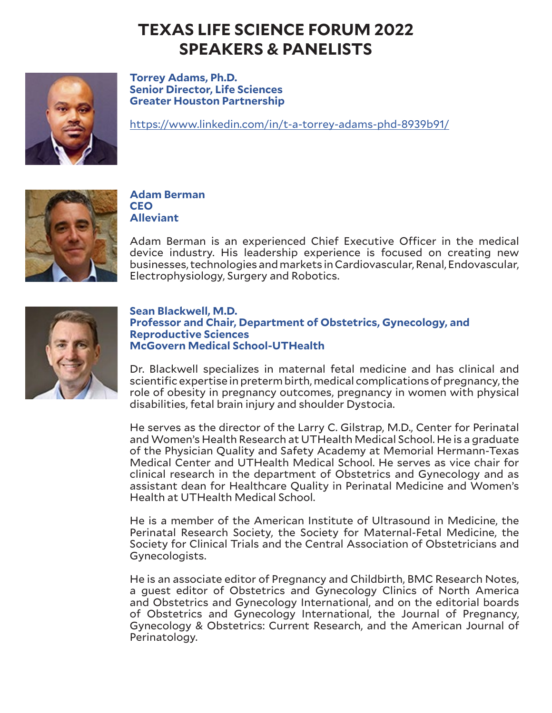

**Torrey Adams, Ph.D. Senior Director, Life Sciences Greater Houston Partnership** 

https://www.linkedin.com/in/t-a-torrey-adams-phd-8939b91/



## **Adam Berman CEO Alleviant**

Adam Berman is an experienced Chief Executive Officer in the medical device industry. His leadership experience is focused on creating new businesses, technologies and markets in Cardiovascular, Renal, Endovascular, Electrophysiology, Surgery and Robotics.



### **Sean Blackwell, M.D. Professor and Chair, Department of Obstetrics, Gynecology, and Reproductive Sciences McGovern Medical School-UTHealth**

Dr. Blackwell specializes in maternal fetal medicine and has clinical and scientific expertise in preterm birth, medical complications of pregnancy, the role of obesity in pregnancy outcomes, pregnancy in women with physical disabilities, fetal brain injury and shoulder Dystocia.

He serves as the director of the Larry C. Gilstrap, M.D., Center for Perinatal and Women's Health Research at UTHealth Medical School. He is a graduate of the Physician Quality and Safety Academy at Memorial Hermann-Texas Medical Center and UTHealth Medical School. He serves as vice chair for clinical research in the department of Obstetrics and Gynecology and as assistant dean for Healthcare Quality in Perinatal Medicine and Women's Health at UTHealth Medical School.

He is a member of the American Institute of Ultrasound in Medicine, the Perinatal Research Society, the Society for Maternal-Fetal Medicine, the Society for Clinical Trials and the Central Association of Obstetricians and Gynecologists.

He is an associate editor of Pregnancy and Childbirth, BMC Research Notes, a guest editor of Obstetrics and Gynecology Clinics of North America and Obstetrics and Gynecology International, and on the editorial boards of Obstetrics and Gynecology International, the Journal of Pregnancy, Gynecology & Obstetrics: Current Research, and the American Journal of Perinatology.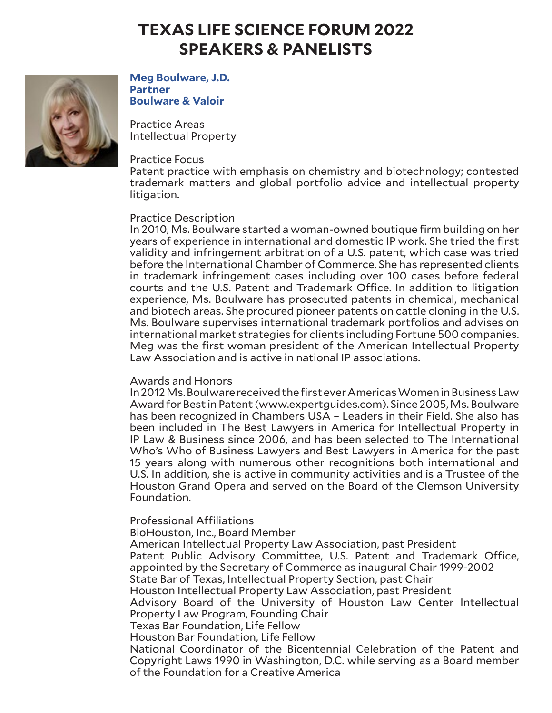

**Meg Boulware, J.D. Partner Boulware & Valoir**

Practice Areas Intellectual Property

### Practice Focus

Patent practice with emphasis on chemistry and biotechnology; contested trademark matters and global portfolio advice and intellectual property litigation.

### Practice Description

In 2010, Ms. Boulware started a woman-owned boutique firm building on her years of experience in international and domestic IP work. She tried the first validity and infringement arbitration of a U.S. patent, which case was tried before the International Chamber of Commerce. She has represented clients in trademark infringement cases including over 100 cases before federal courts and the U.S. Patent and Trademark Office. In addition to litigation experience, Ms. Boulware has prosecuted patents in chemical, mechanical and biotech areas. She procured pioneer patents on cattle cloning in the U.S. Ms. Boulware supervises international trademark portfolios and advises on international market strategies for clients including Fortune 500 companies. Meg was the first woman president of the American Intellectual Property Law Association and is active in national IP associations.

### Awards and Honors

In 2012 Ms. Boulware received the first ever Americas Women in Business Law Award for Best in Patent (www.expertguides.com). Since 2005, Ms. Boulware has been recognized in Chambers USA – Leaders in their Field. She also has been included in The Best Lawyers in America for Intellectual Property in IP Law & Business since 2006, and has been selected to The International Who's Who of Business Lawyers and Best Lawyers in America for the past 15 years along with numerous other recognitions both international and U.S. In addition, she is active in community activities and is a Trustee of the Houston Grand Opera and served on the Board of the Clemson University Foundation.

Professional Affiliations

BioHouston, Inc., Board Member

American Intellectual Property Law Association, past President Patent Public Advisory Committee, U.S. Patent and Trademark Office, appointed by the Secretary of Commerce as inaugural Chair 1999-2002 State Bar of Texas, Intellectual Property Section, past Chair Houston Intellectual Property Law Association, past President Advisory Board of the University of Houston Law Center Intellectual Property Law Program, Founding Chair Texas Bar Foundation, Life Fellow Houston Bar Foundation, Life Fellow National Coordinator of the Bicentennial Celebration of the Patent and Copyright Laws 1990 in Washington, D.C. while serving as a Board member of the Foundation for a Creative America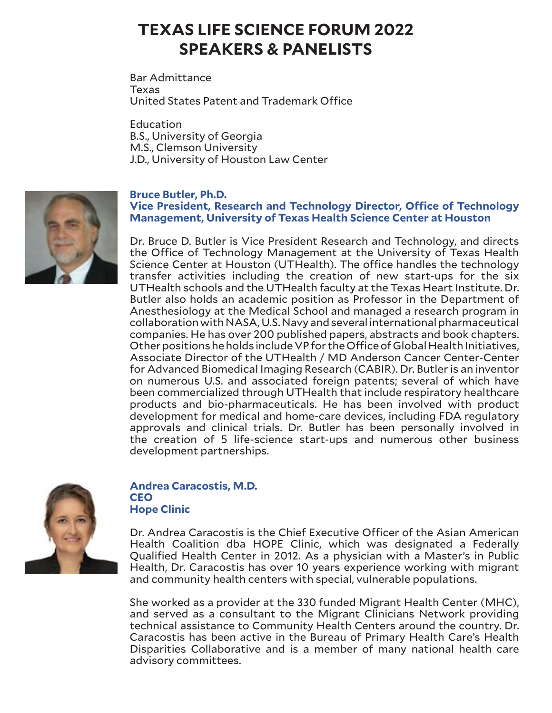Bar Admittance Texas United States Patent and Trademark Office

**Education** B.S., University of Georgia M.S., Clemson University J.D., University of Houston Law Center



# **Vice President, Research and Technology Director, Office of Technology Management, University of Texas Health Science Center at Houston**

Dr. Bruce D. Butler is Vice President Research and Technology, and directs the Office of Technology Management at the University of Texas Health Science Center at Houston (UTHealth). The office handles the technology transfer activities including the creation of new start-ups for the six UTHealth schools and the UTHealth faculty at the Texas Heart Institute. Dr. Butler also holds an academic position as Professor in the Department of Anesthesiology at the Medical School and managed a research program in collaboration with NASA, U.S. Navy and several international pharmaceutical companies. He has over 200 published papers, abstracts and book chapters. Other positions he holds include VP for the Office of Global Health Initiatives, Associate Director of the UTHealth / MD Anderson Cancer Center-Center for Advanced Biomedical Imaging Research (CABIR). Dr. Butler is an inventor on numerous U.S. and associated foreign patents; several of which have been commercialized through UTHealth that include respiratory healthcare products and bio-pharmaceuticals. He has been involved with product development for medical and home-care devices, including FDA regulatory approvals and clinical trials. Dr. Butler has been personally involved in the creation of 5 life-science start-ups and numerous other business development partnerships.



### **Andrea Caracostis, M.D. CEO Hope Clinic**

Dr. Andrea Caracostis is the Chief Executive Officer of the Asian American Health Coalition dba HOPE Clinic, which was designated a Federally Qualified Health Center in 2012. As a physician with a Master's in Public Health, Dr. Caracostis has over 10 years experience working with migrant and community health centers with special, vulnerable populations.

She worked as a provider at the 330 funded Migrant Health Center (MHC), and served as a consultant to the Migrant Clinicians Network providing technical assistance to Community Health Centers around the country. Dr. Caracostis has been active in the Bureau of Primary Health Care's Health Disparities Collaborative and is a member of many national health care advisory committees.

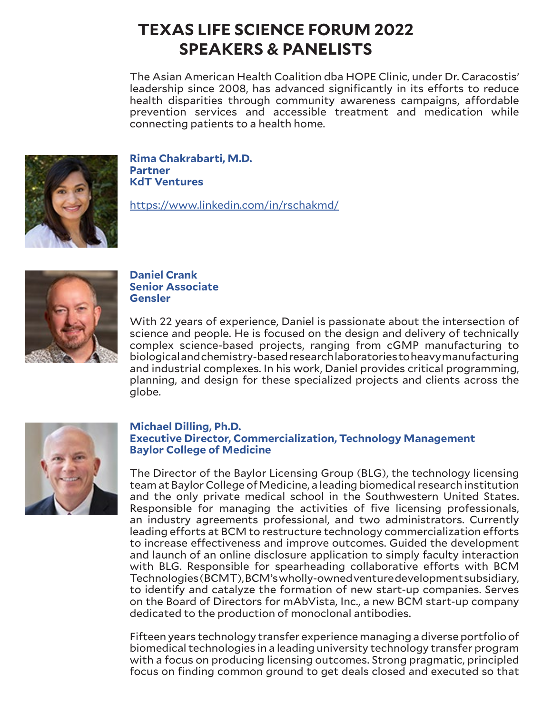The Asian American Health Coalition dba HOPE Clinic, under Dr. Caracostis' leadership since 2008, has advanced significantly in its efforts to reduce health disparities through community awareness campaigns, affordable prevention services and accessible treatment and medication while connecting patients to a health home.



**Rima Chakrabarti, M.D. Partner KdT Ventures**

https://www.linkedin.com/in/rschakmd/



## **Daniel Crank Senior Associate Gensler**

With 22 years of experience, Daniel is passionate about the intersection of science and people. He is focused on the design and delivery of technically complex science-based projects, ranging from cGMP manufacturing to biological and chemistry-based research laboratories to heavy manufacturing and industrial complexes. In his work, Daniel provides critical programming, planning, and design for these specialized projects and clients across the globe.



### **Michael Dilling, Ph.D. Executive Director, Commercialization, Technology Management Baylor College of Medicine**

The Director of the Baylor Licensing Group (BLG), the technology licensing team at Baylor College of Medicine, a leading biomedical research institution and the only private medical school in the Southwestern United States. Responsible for managing the activities of five licensing professionals, an industry agreements professional, and two administrators. Currently leading efforts at BCM to restructure technology commercialization efforts to increase effectiveness and improve outcomes. Guided the development and launch of an online disclosure application to simply faculty interaction with BLG. Responsible for spearheading collaborative efforts with BCM Technologies (BCMT), BCM's wholly-owned venture development subsidiary, to identify and catalyze the formation of new start-up companies. Serves on the Board of Directors for mAbVista, Inc., a new BCM start-up company dedicated to the production of monoclonal antibodies.

Fifteen years technology transfer experience managing a diverse portfolio of biomedical technologies in a leading university technology transfer program with a focus on producing licensing outcomes. Strong pragmatic, principled focus on finding common ground to get deals closed and executed so that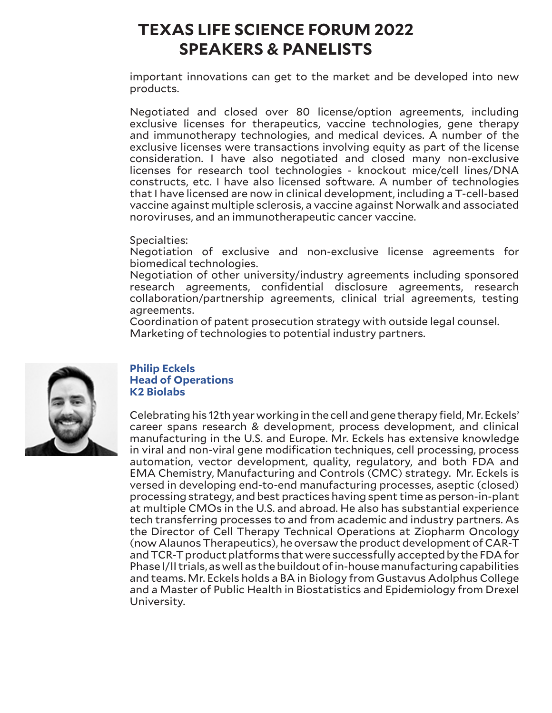important innovations can get to the market and be developed into new products.

Negotiated and closed over 80 license/option agreements, including exclusive licenses for therapeutics, vaccine technologies, gene therapy and immunotherapy technologies, and medical devices. A number of the exclusive licenses were transactions involving equity as part of the license consideration. I have also negotiated and closed many non-exclusive licenses for research tool technologies - knockout mice/cell lines/DNA constructs, etc. I have also licensed software. A number of technologies that I have licensed are now in clinical development, including a T-cell-based vaccine against multiple sclerosis, a vaccine against Norwalk and associated noroviruses, and an immunotherapeutic cancer vaccine.

Specialties:

Negotiation of exclusive and non-exclusive license agreements for biomedical technologies.

Negotiation of other university/industry agreements including sponsored research agreements, confidential disclosure agreements, research collaboration/partnership agreements, clinical trial agreements, testing agreements.

Coordination of patent prosecution strategy with outside legal counsel. Marketing of technologies to potential industry partners.



#### **Philip Eckels Head of Operations K2 Biolabs**

Celebrating his 12th year working in the cell and gene therapy field, Mr. Eckels' career spans research & development, process development, and clinical manufacturing in the U.S. and Europe. Mr. Eckels has extensive knowledge in viral and non-viral gene modification techniques, cell processing, process automation, vector development, quality, regulatory, and both FDA and EMA Chemistry, Manufacturing and Controls (CMC) strategy. Mr. Eckels is versed in developing end-to-end manufacturing processes, aseptic (closed) processing strategy, and best practices having spent time as person-in-plant at multiple CMOs in the U.S. and abroad. He also has substantial experience tech transferring processes to and from academic and industry partners. As the Director of Cell Therapy Technical Operations at Ziopharm Oncology (now Alaunos Therapeutics), he oversaw the product development of CAR-T and TCR-T product platforms that were successfully accepted by the FDA for Phase I/II trials, as well as the buildout of in-house manufacturing capabilities and teams. Mr. Eckels holds a BA in Biology from Gustavus Adolphus College and a Master of Public Health in Biostatistics and Epidemiology from Drexel University.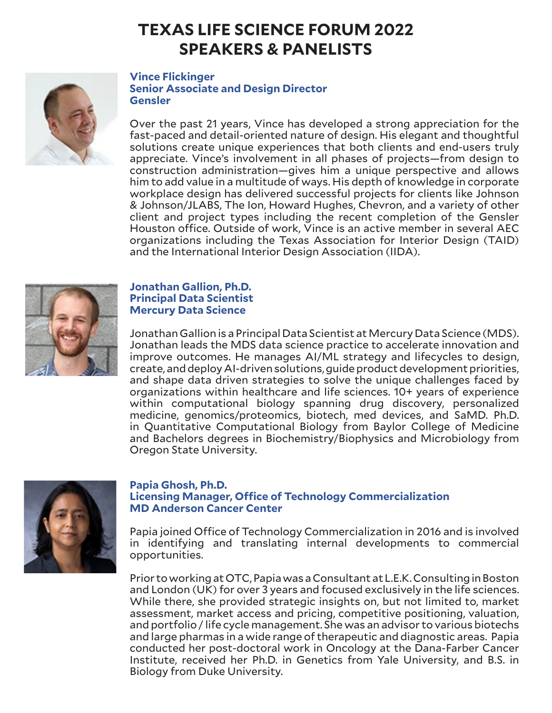

#### **Vince Flickinger Senior Associate and Design Director Gensler**

Over the past 21 years, Vince has developed a strong appreciation for the fast-paced and detail-oriented nature of design. His elegant and thoughtful solutions create unique experiences that both clients and end-users truly appreciate. Vince's involvement in all phases of projects—from design to construction administration—gives him a unique perspective and allows him to add value in a multitude of ways. His depth of knowledge in corporate workplace design has delivered successful projects for clients like Johnson & Johnson/JLABS, The Ion, Howard Hughes, Chevron, and a variety of other client and project types including the recent completion of the Gensler Houston office. Outside of work, Vince is an active member in several AEC organizations including the Texas Association for Interior Design (TAID) and the International Interior Design Association (IIDA).



## **Jonathan Gallion, Ph.D. Principal Data Scientist Mercury Data Science**

Jonathan Gallion is a Principal Data Scientist at Mercury Data Science (MDS). Jonathan leads the MDS data science practice to accelerate innovation and improve outcomes. He manages AI/ML strategy and lifecycles to design, create, and deploy AI-driven solutions, guide product development priorities, and shape data driven strategies to solve the unique challenges faced by organizations within healthcare and life sciences. 10+ years of experience within computational biology spanning drug discovery, personalized medicine, genomics/proteomics, biotech, med devices, and SaMD. Ph.D. in Quantitative Computational Biology from Baylor College of Medicine and Bachelors degrees in Biochemistry/Biophysics and Microbiology from Oregon State University.



## **Papia Ghosh, Ph.D. Licensing Manager, Office of Technology Commercialization MD Anderson Cancer Center**

Papia joined Office of Technology Commercialization in 2016 and is involved in identifying and translating internal developments to commercial opportunities.

Prior to working at OTC, Papia was a Consultant at L.E.K. Consulting in Boston and London (UK) for over 3 years and focused exclusively in the life sciences. While there, she provided strategic insights on, but not limited to, market assessment, market access and pricing, competitive positioning, valuation, and portfolio / life cycle management. She was an advisor to various biotechs and large pharmas in a wide range of therapeutic and diagnostic areas. Papia conducted her post-doctoral work in Oncology at the Dana-Farber Cancer Institute, received her Ph.D. in Genetics from Yale University, and B.S. in Biology from Duke University.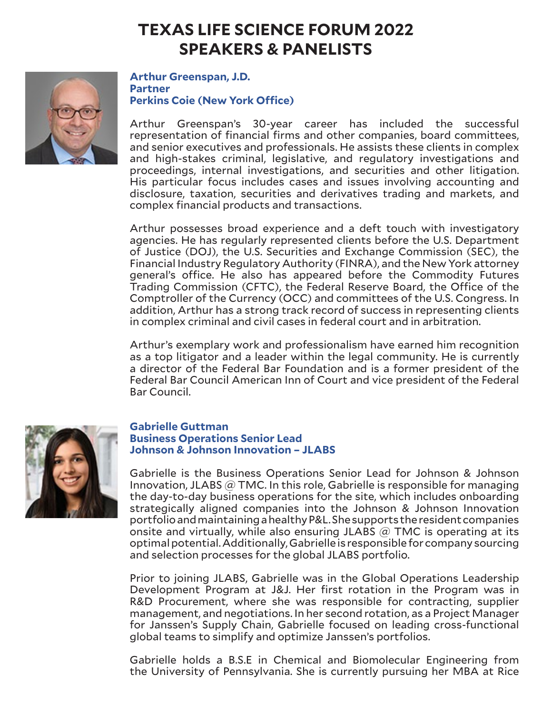

**Arthur Greenspan, J.D. Partner Perkins Coie (New York Office)**

Arthur Greenspan's 30-year career has included the successful representation of financial firms and other companies, board committees, and senior executives and professionals. He assists these clients in complex and high-stakes criminal, legislative, and regulatory investigations and proceedings, internal investigations, and securities and other litigation. His particular focus includes cases and issues involving accounting and disclosure, taxation, securities and derivatives trading and markets, and complex financial products and transactions.

Arthur possesses broad experience and a deft touch with investigatory agencies. He has regularly represented clients before the U.S. Department of Justice (DOJ), the U.S. Securities and Exchange Commission (SEC), the Financial Industry Regulatory Authority (FINRA), and the New York attorney general's office. He also has appeared before the Commodity Futures Trading Commission (CFTC), the Federal Reserve Board, the Office of the Comptroller of the Currency (OCC) and committees of the U.S. Congress. In addition, Arthur has a strong track record of success in representing clients in complex criminal and civil cases in federal court and in arbitration.

Arthur's exemplary work and professionalism have earned him recognition as a top litigator and a leader within the legal community. He is currently a director of the Federal Bar Foundation and is a former president of the Federal Bar Council American Inn of Court and vice president of the Federal Bar Council.



### **Gabrielle Guttman Business Operations Senior Lead Johnson & Johnson Innovation – JLABS**

Gabrielle is the Business Operations Senior Lead for Johnson & Johnson Innovation, JLABS  $@$  TMC. In this role, Gabrielle is responsible for managing the day-to-day business operations for the site, which includes onboarding strategically aligned companies into the Johnson & Johnson Innovation portfolio and maintaining a healthy P&L. She supports the resident companies onsite and virtually, while also ensuring JLABS  $\omega$  TMC is operating at its optimal potential. Additionally, Gabrielle is responsible for company sourcing and selection processes for the global JLABS portfolio.

Prior to joining JLABS, Gabrielle was in the Global Operations Leadership Development Program at J&J. Her first rotation in the Program was in R&D Procurement, where she was responsible for contracting, supplier management, and negotiations. In her second rotation, as a Project Manager for Janssen's Supply Chain, Gabrielle focused on leading cross-functional global teams to simplify and optimize Janssen's portfolios.

Gabrielle holds a B.S.E in Chemical and Biomolecular Engineering from the University of Pennsylvania. She is currently pursuing her MBA at Rice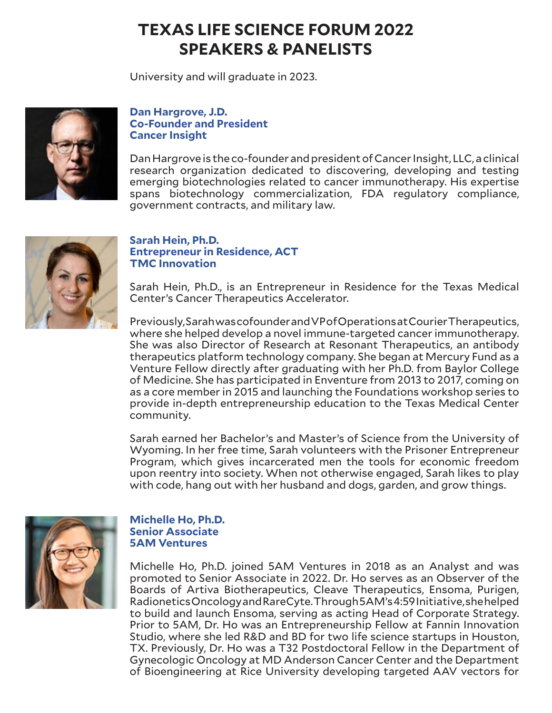University and will graduate in 2023.



### **Dan Hargrove, J.D. Co-Founder and President Cancer Insight**

Dan Hargrove is the co-founder and president of Cancer Insight, LLC, a clinical research organization dedicated to discovering, developing and testing emerging biotechnologies related to cancer immunotherapy. His expertise spans biotechnology commercialization, FDA regulatory compliance, government contracts, and military law.



# **Sarah Hein, Ph.D. Entrepreneur in Residence, ACT TMC Innovation**

Sarah Hein, Ph.D., is an Entrepreneur in Residence for the Texas Medical Center's Cancer Therapeutics Accelerator.

Previously, Sarah was cofounder and VP of Operations at Courier Therapeutics, where she helped develop a novel immune-targeted cancer immunotherapy. She was also Director of Research at Resonant Therapeutics, an antibody therapeutics platform technology company. She began at Mercury Fund as a Venture Fellow directly after graduating with her Ph.D. from Baylor College of Medicine. She has participated in Enventure from 2013 to 2017, coming on as a core member in 2015 and launching the Foundations workshop series to provide in-depth entrepreneurship education to the Texas Medical Center community.

Sarah earned her Bachelor's and Master's of Science from the University of Wyoming. In her free time, Sarah volunteers with the Prisoner Entrepreneur Program, which gives incarcerated men the tools for economic freedom upon reentry into society. When not otherwise engaged, Sarah likes to play with code, hang out with her husband and dogs, garden, and grow things.



## **Michelle Ho, Ph.D. Senior Associate 5AM Ventures**

Michelle Ho, Ph.D. joined 5AM Ventures in 2018 as an Analyst and was promoted to Senior Associate in 2022. Dr. Ho serves as an Observer of the Boards of Artiva Biotherapeutics, Cleave Therapeutics, Ensoma, Purigen, Radionetics Oncology and RareCyte. Through 5AM's 4:59 Initiative, she helped to build and launch Ensoma, serving as acting Head of Corporate Strategy. Prior to 5AM, Dr. Ho was an Entrepreneurship Fellow at Fannin Innovation Studio, where she led R&D and BD for two life science startups in Houston, TX. Previously, Dr. Ho was a T32 Postdoctoral Fellow in the Department of Gynecologic Oncology at MD Anderson Cancer Center and the Department of Bioengineering at Rice University developing targeted AAV vectors for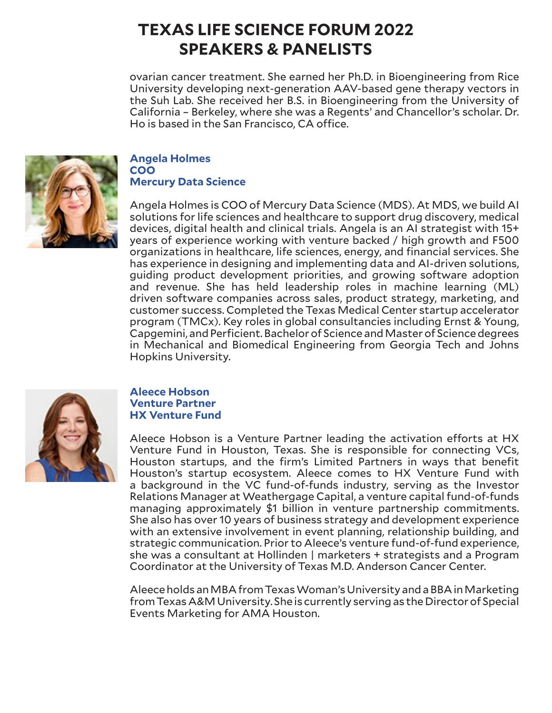ovarian cancer treatment. She earned her Ph.D. in Bioengineering from Rice University developing next-generation AAV-based gene therapy vectors in the Suh Lab. She received her B.S. in Bioengineering from the University of California – Berkeley, where she was a Regents' and Chancellor's scholar. Dr. Ho is based in the San Francisco, CA office.



#### **Angela Holmes COO Mercury Data Science**

Angela Holmes is COO of Mercury Data Science (MDS). At MDS, we build AI solutions for life sciences and healthcare to support drug discovery, medical devices, digital health and clinical trials. Angela is an AI strategist with 15+ years of experience working with venture backed / high growth and F500 organizations in healthcare, life sciences, energy, and financial services. She has experience in designing and implementing data and AI-driven solutions, guiding product development priorities, and growing software adoption and revenue. She has held leadership roles in machine learning (ML) driven software companies across sales, product strategy, marketing, and customer success. Completed the Texas Medical Center startup accelerator program (TMCx). Key roles in global consultancies including Ernst & Young, Capgemini, and Perficient. Bachelor of Science and Master of Science degrees in Mechanical and Biomedical Engineering from Georgia Tech and Johns Hopkins University.



## **Aleece Hobson Venture Partner HX Venture Fund**

Aleece Hobson is a Venture Partner leading the activation efforts at HX Venture Fund in Houston, Texas. She is responsible for connecting VCs, Houston startups, and the firm's Limited Partners in ways that benefit Houston's startup ecosystem. Aleece comes to HX Venture Fund with a background in the VC fund-of-funds industry, serving as the Investor Relations Manager at Weathergage Capital, a venture capital fund-of-funds managing approximately \$1 billion in venture partnership commitments. She also has over 10 years of business strategy and development experience with an extensive involvement in event planning, relationship building, and strategic communication. Prior to Aleece's venture fund-of-fund experience, she was a consultant at Hollinden | marketers + strategists and a Program Coordinator at the University of Texas M.D. Anderson Cancer Center.

Aleece holds an MBA from Texas Woman's University and a BBA in Marketing from Texas A&M University. She is currently serving as the Director of Special Events Marketing for AMA Houston.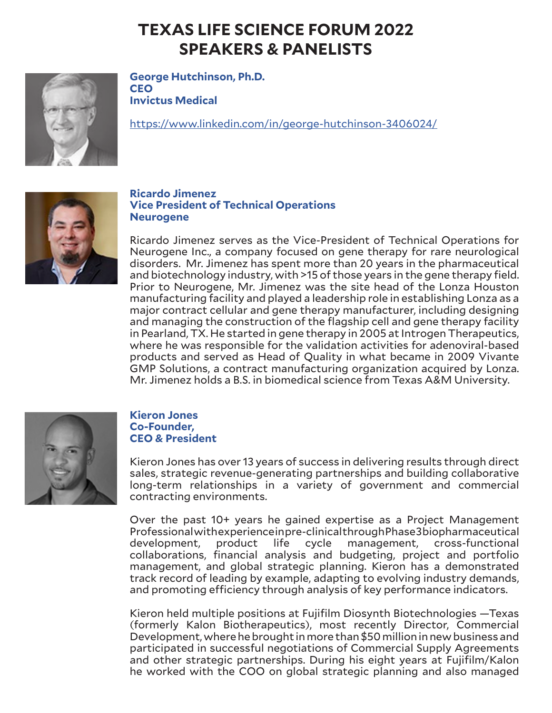

**George Hutchinson, Ph.D. CEO Invictus Medical**

https://www.linkedin.com/in/george-hutchinson-3406024/



## **Ricardo Jimenez Vice President of Technical Operations Neurogene**

Ricardo Jimenez serves as the Vice-President of Technical Operations for Neurogene Inc., a company focused on gene therapy for rare neurological disorders. Mr. Jimenez has spent more than 20 years in the pharmaceutical and biotechnology industry, with >15 of those years in the gene therapy field. Prior to Neurogene, Mr. Jimenez was the site head of the Lonza Houston manufacturing facility and played a leadership role in establishing Lonza as a major contract cellular and gene therapy manufacturer, including designing and managing the construction of the flagship cell and gene therapy facility in Pearland, TX. He started in gene therapy in 2005 at Introgen Therapeutics, where he was responsible for the validation activities for adenoviral-based products and served as Head of Quality in what became in 2009 Vivante GMP Solutions, a contract manufacturing organization acquired by Lonza. Mr. Jimenez holds a B.S. in biomedical science from Texas A&M University.



## **Kieron Jones Co-Founder, CEO & President**

Kieron Jones has over 13 years of success in delivering results through direct sales, strategic revenue-generating partnerships and building collaborative long-term relationships in a variety of government and commercial contracting environments.

Over the past 10+ years he gained expertise as a Project Management Professional with experience in pre-clinical through Phase 3 biopharmaceutical<br>development, product life cycle management, cross-functional product life cycle management, cross-functional collaborations, financial analysis and budgeting, project and portfolio management, and global strategic planning. Kieron has a demonstrated track record of leading by example, adapting to evolving industry demands, and promoting efficiency through analysis of key performance indicators.

Kieron held multiple positions at Fujifilm Diosynth Biotechnologies —Texas (formerly Kalon Biotherapeutics), most recently Director, Commercial Development, where he brought in more than \$50 million in new business and participated in successful negotiations of Commercial Supply Agreements and other strategic partnerships. During his eight years at Fujifilm/Kalon he worked with the COO on global strategic planning and also managed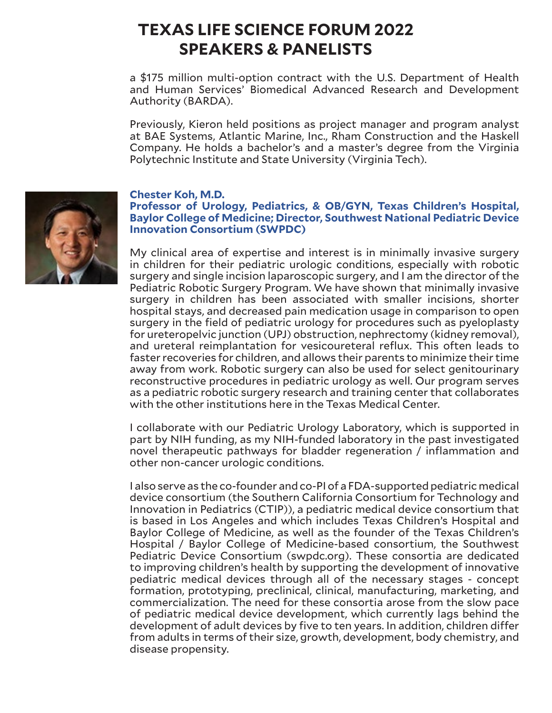a \$175 million multi-option contract with the U.S. Department of Health and Human Services' Biomedical Advanced Research and Development Authority (BARDA).

Previously, Kieron held positions as project manager and program analyst at BAE Systems, Atlantic Marine, Inc., Rham Construction and the Haskell Company. He holds a bachelor's and a master's degree from the Virginia Polytechnic Institute and State University (Virginia Tech).

### **Chester Koh, M.D.**

## **Professor of Urology, Pediatrics, & OB/GYN, Texas Children's Hospital, Baylor College of Medicine; Director, Southwest National Pediatric Device Innovation Consortium (SWPDC)**

My clinical area of expertise and interest is in minimally invasive surgery in children for their pediatric urologic conditions, especially with robotic surgery and single incision laparoscopic surgery, and I am the director of the Pediatric Robotic Surgery Program. We have shown that minimally invasive surgery in children has been associated with smaller incisions, shorter hospital stays, and decreased pain medication usage in comparison to open surgery in the field of pediatric urology for procedures such as pyeloplasty for ureteropelvic junction (UPJ) obstruction, nephrectomy (kidney removal), and ureteral reimplantation for vesicoureteral reflux. This often leads to faster recoveries for children, and allows their parents to minimize their time away from work. Robotic surgery can also be used for select genitourinary reconstructive procedures in pediatric urology as well. Our program serves as a pediatric robotic surgery research and training center that collaborates with the other institutions here in the Texas Medical Center.

I collaborate with our Pediatric Urology Laboratory, which is supported in part by NIH funding, as my NIH-funded laboratory in the past investigated novel therapeutic pathways for bladder regeneration / inflammation and other non-cancer urologic conditions.

I also serve as the co-founder and co-PI of a FDA-supported pediatric medical device consortium (the Southern California Consortium for Technology and Innovation in Pediatrics (CTIP)), a pediatric medical device consortium that is based in Los Angeles and which includes Texas Children's Hospital and Baylor College of Medicine, as well as the founder of the Texas Children's Hospital / Baylor College of Medicine-based consortium, the Southwest Pediatric Device Consortium (swpdc.org). These consortia are dedicated to improving children's health by supporting the development of innovative pediatric medical devices through all of the necessary stages - concept formation, prototyping, preclinical, clinical, manufacturing, marketing, and commercialization. The need for these consortia arose from the slow pace of pediatric medical device development, which currently lags behind the development of adult devices by five to ten years. In addition, children differ from adults in terms of their size, growth, development, body chemistry, and disease propensity.

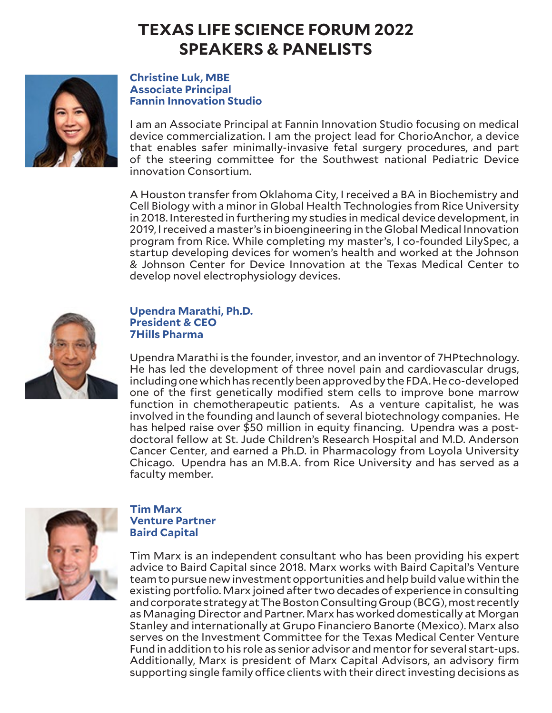

### **Christine Luk, MBE Associate Principal Fannin Innovation Studio**

I am an Associate Principal at Fannin Innovation Studio focusing on medical device commercialization. I am the project lead for ChorioAnchor, a device that enables safer minimally-invasive fetal surgery procedures, and part of the steering committee for the Southwest national Pediatric Device innovation Consortium.

A Houston transfer from Oklahoma City, I received a BA in Biochemistry and Cell Biology with a minor in Global Health Technologies from Rice University in 2018. Interested in furthering my studies in medical device development, in 2019, I received a master's in bioengineering in the Global Medical Innovation program from Rice. While completing my master's, I co-founded LilySpec, a startup developing devices for women's health and worked at the Johnson & Johnson Center for Device Innovation at the Texas Medical Center to develop novel electrophysiology devices.



## **Upendra Marathi, Ph.D. President & CEO 7Hills Pharma**

Upendra Marathi is the founder, investor, and an inventor of 7HPtechnology. He has led the development of three novel pain and cardiovascular drugs, including one which has recently been approved by the FDA. He co-developed one of the first genetically modified stem cells to improve bone marrow function in chemotherapeutic patients. As a venture capitalist, he was involved in the founding and launch of several biotechnology companies. He has helped raise over \$50 million in equity financing. Upendra was a postdoctoral fellow at St. Jude Children's Research Hospital and M.D. Anderson Cancer Center, and earned a Ph.D. in Pharmacology from Loyola University Chicago. Upendra has an M.B.A. from Rice University and has served as a faculty member.



### **Tim Marx Venture Partner Baird Capital**

Tim Marx is an independent consultant who has been providing his expert advice to Baird Capital since 2018. Marx works with Baird Capital's Venture team to pursue new investment opportunities and help build value within the existing portfolio. Marx joined after two decades of experience in consulting and corporate strategy at The Boston Consulting Group (BCG), most recently as Managing Director and Partner. Marx has worked domestically at Morgan Stanley and internationally at Grupo Financiero Banorte (Mexico). Marx also serves on the Investment Committee for the Texas Medical Center Venture Fund in addition to his role as senior advisor and mentor for several start-ups. Additionally, Marx is president of Marx Capital Advisors, an advisory firm supporting single family office clients with their direct investing decisions as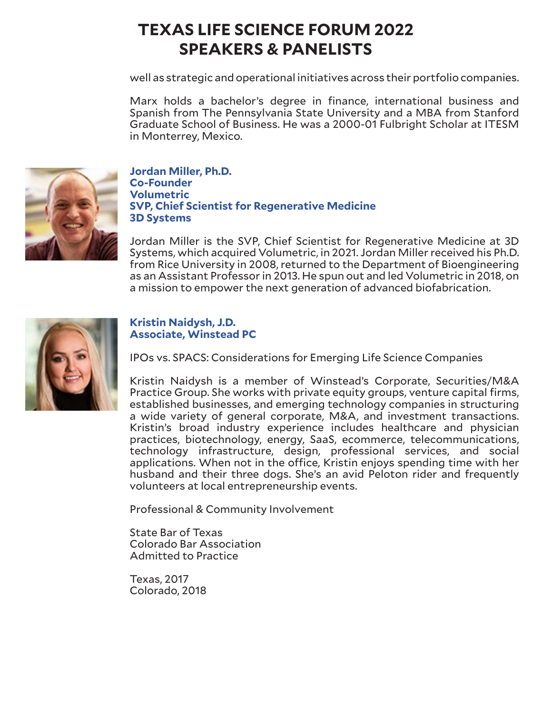well as strategic and operational initiatives across their portfolio companies.

Marx holds a bachelor's degree in finance, international business and Spanish from The Pennsylvania State University and a MBA from Stanford Graduate School of Business. He was a 2000-01 Fulbright Scholar at ITESM in Monterrey, Mexico.



## **Jordan Miller, Ph.D. Co-Founder Volumetric SVP, Chief Scientist for Regenerative Medicine 3D Systems**

Jordan Miller is the SVP, Chief Scientist for Regenerative Medicine at 3D Systems, which acquired Volumetric, in 2021. Jordan Miller received his Ph.D. from Rice University in 2008, returned to the Department of Bioengineering as an Assistant Professor in 2013. He spun out and led Volumetric in 2018, on a mission to empower the next generation of advanced biofabrication.



## **Kristin Naidysh, J.D. Associate, Winstead PC**

IPOs vs. SPACS: Considerations for Emerging Life Science Companies

Kristin Naidysh is a member of Winstead's Corporate, Securities/M&A Practice Group. She works with private equity groups, venture capital firms, established businesses, and emerging technology companies in structuring a wide variety of general corporate, M&A, and investment transactions. Kristin's broad industry experience includes healthcare and physician practices, biotechnology, energy, SaaS, ecommerce, telecommunications, technology infrastructure, design, professional services, and social applications. When not in the office, Kristin enjoys spending time with her husband and their three dogs. She's an avid Peloton rider and frequently volunteers at local entrepreneurship events.

Professional & Community Involvement

State Bar of Texas Colorado Bar Association Admitted to Practice

Texas, 2017 Colorado, 2018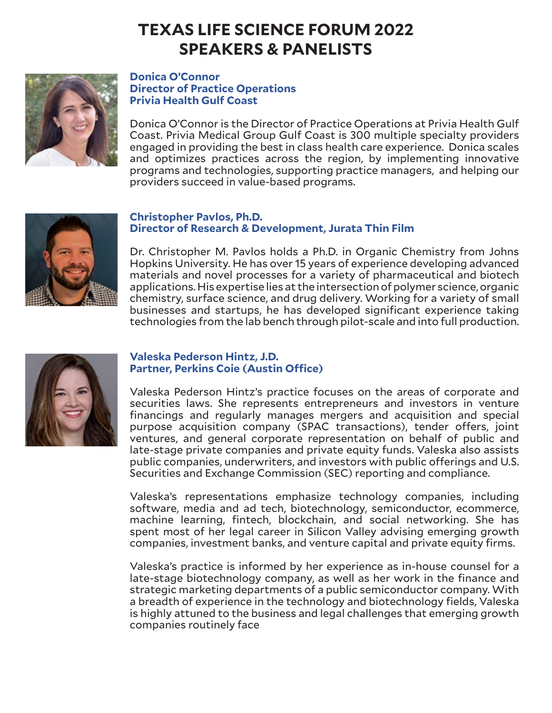

#### **Donica O'Connor Director of Practice Operations Privia Health Gulf Coast**

Donica O'Connor is the Director of Practice Operations at Privia Health Gulf Coast. Privia Medical Group Gulf Coast is 300 multiple specialty providers engaged in providing the best in class health care experience. Donica scales and optimizes practices across the region, by implementing innovative programs and technologies, supporting practice managers, and helping our providers succeed in value-based programs.



### **Christopher Pavlos, Ph.D. Director of Research & Development, Jurata Thin Film**

Dr. Christopher M. Pavlos holds a Ph.D. in Organic Chemistry from Johns Hopkins University. He has over 15 years of experience developing advanced materials and novel processes for a variety of pharmaceutical and biotech applications. His expertise lies at the intersection of polymer science, organic chemistry, surface science, and drug delivery. Working for a variety of small businesses and startups, he has developed significant experience taking technologies from the lab bench through pilot-scale and into full production.



## **Valeska Pederson Hintz, J.D. Partner, Perkins Coie (Austin Office)**

Valeska Pederson Hintz's practice focuses on the areas of corporate and securities laws. She represents entrepreneurs and investors in venture financings and regularly manages mergers and acquisition and special purpose acquisition company (SPAC transactions), tender offers, joint ventures, and general corporate representation on behalf of public and late-stage private companies and private equity funds. Valeska also assists public companies, underwriters, and investors with public offerings and U.S. Securities and Exchange Commission (SEC) reporting and compliance.

Valeska's representations emphasize technology companies, including software, media and ad tech, biotechnology, semiconductor, ecommerce, machine learning, fintech, blockchain, and social networking. She has spent most of her legal career in Silicon Valley advising emerging growth companies, investment banks, and venture capital and private equity firms.

Valeska's practice is informed by her experience as in-house counsel for a late-stage biotechnology company, as well as her work in the finance and strategic marketing departments of a public semiconductor company. With a breadth of experience in the technology and biotechnology fields, Valeska is highly attuned to the business and legal challenges that emerging growth companies routinely face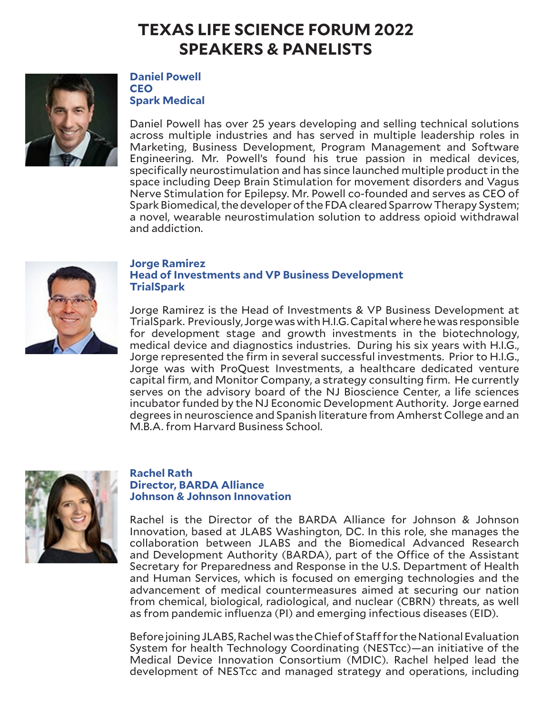

## **Daniel Powell CEO Spark Medical**

Daniel Powell has over 25 years developing and selling technical solutions across multiple industries and has served in multiple leadership roles in Marketing, Business Development, Program Management and Software Engineering. Mr. Powell's found his true passion in medical devices, specifically neurostimulation and has since launched multiple product in the space including Deep Brain Stimulation for movement disorders and Vagus Nerve Stimulation for Epilepsy. Mr. Powell co-founded and serves as CEO of Spark Biomedical, the developer of the FDA cleared Sparrow Therapy System; a novel, wearable neurostimulation solution to address opioid withdrawal and addiction.



### **Jorge Ramirez Head of Investments and VP Business Development TrialSpark**

Jorge Ramirez is the Head of Investments & VP Business Development at TrialSpark. Previously, Jorge was with H.I.G. Capital where he was responsible for development stage and growth investments in the biotechnology, medical device and diagnostics industries. During his six years with H.I.G., Jorge represented the firm in several successful investments. Prior to H.I.G., Jorge was with ProQuest Investments, a healthcare dedicated venture capital firm, and Monitor Company, a strategy consulting firm. He currently serves on the advisory board of the NJ Bioscience Center, a life sciences incubator funded by the NJ Economic Development Authority. Jorge earned degrees in neuroscience and Spanish literature from Amherst College and an M.B.A. from Harvard Business School.



#### **Rachel Rath Director, BARDA Alliance Johnson & Johnson Innovation**

Rachel is the Director of the BARDA Alliance for Johnson & Johnson Innovation, based at JLABS Washington, DC. In this role, she manages the collaboration between JLABS and the Biomedical Advanced Research and Development Authority (BARDA), part of the Office of the Assistant Secretary for Preparedness and Response in the U.S. Department of Health and Human Services, which is focused on emerging technologies and the advancement of medical countermeasures aimed at securing our nation from chemical, biological, radiological, and nuclear (CBRN) threats, as well as from pandemic influenza (PI) and emerging infectious diseases (EID).

Before joining JLABS, Rachel was the Chief of Staff for the National Evaluation System for health Technology Coordinating (NESTcc)—an initiative of the Medical Device Innovation Consortium (MDIC). Rachel helped lead the development of NESTcc and managed strategy and operations, including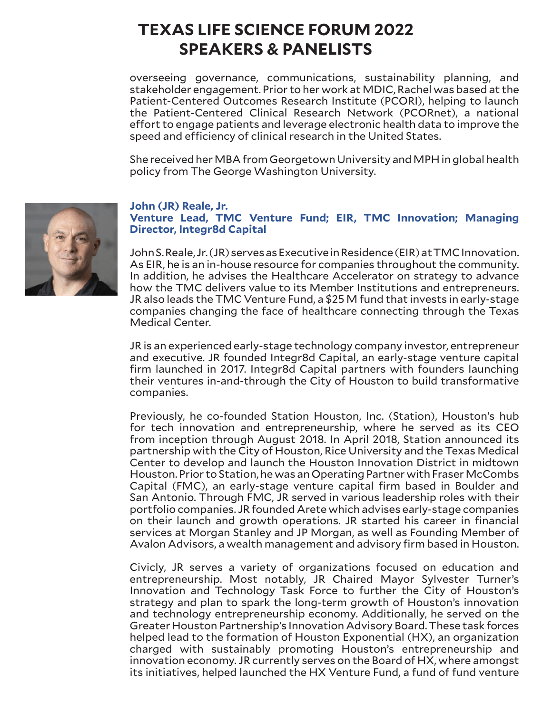overseeing governance, communications, sustainability planning, and stakeholder engagement. Prior to her work at MDIC, Rachel was based at the Patient-Centered Outcomes Research Institute (PCORI), helping to launch the Patient-Centered Clinical Research Network (PCORnet), a national effort to engage patients and leverage electronic health data to improve the speed and efficiency of clinical research in the United States.

She received her MBA from Georgetown University and MPH in global health policy from The George Washington University.



#### **John (JR) Reale, Jr.**

**Venture Lead, TMC Venture Fund; EIR, TMC Innovation; Managing Director, Integr8d Capital**

John S. Reale, Jr. (JR) serves as Executive in Residence (EIR) at TMC Innovation. As EIR, he is an in-house resource for companies throughout the community. In addition, he advises the Healthcare Accelerator on strategy to advance how the TMC delivers value to its Member Institutions and entrepreneurs. JR also leads the TMC Venture Fund, a \$25 M fund that invests in early-stage companies changing the face of healthcare connecting through the Texas Medical Center.

JR is an experienced early-stage technology company investor, entrepreneur and executive. JR founded Integr8d Capital, an early-stage venture capital firm launched in 2017. Integr8d Capital partners with founders launching their ventures in-and-through the City of Houston to build transformative companies.

Previously, he co-founded Station Houston, Inc. (Station), Houston's hub for tech innovation and entrepreneurship, where he served as its CEO from inception through August 2018. In April 2018, Station announced its partnership with the City of Houston, Rice University and the Texas Medical Center to develop and launch the Houston Innovation District in midtown Houston. Prior to Station, he was an Operating Partner with Fraser McCombs Capital (FMC), an early-stage venture capital firm based in Boulder and San Antonio. Through FMC, JR served in various leadership roles with their portfolio companies. JR founded Arete which advises early-stage companies on their launch and growth operations. JR started his career in financial services at Morgan Stanley and JP Morgan, as well as Founding Member of Avalon Advisors, a wealth management and advisory firm based in Houston.

Civicly, JR serves a variety of organizations focused on education and entrepreneurship. Most notably, JR Chaired Mayor Sylvester Turner's Innovation and Technology Task Force to further the City of Houston's strategy and plan to spark the long-term growth of Houston's innovation and technology entrepreneurship economy. Additionally, he served on the Greater Houston Partnership's Innovation Advisory Board. These task forces helped lead to the formation of Houston Exponential (HX), an organization charged with sustainably promoting Houston's entrepreneurship and innovation economy. JR currently serves on the Board of HX, where amongst its initiatives, helped launched the HX Venture Fund, a fund of fund venture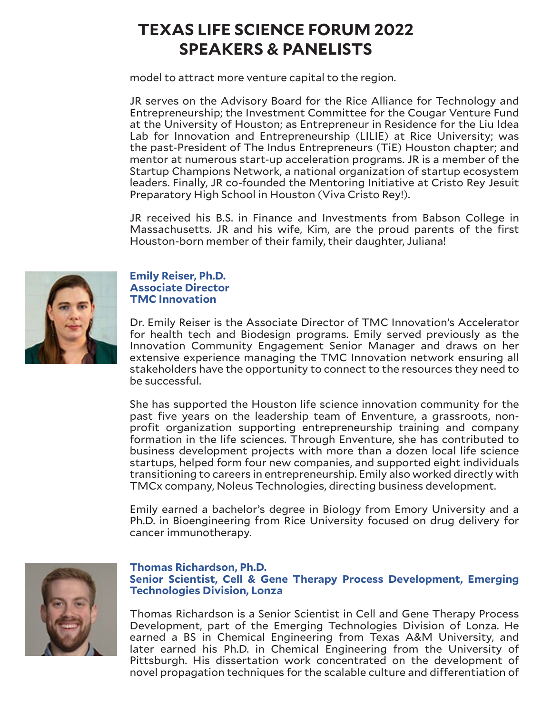model to attract more venture capital to the region.

JR serves on the Advisory Board for the Rice Alliance for Technology and Entrepreneurship; the Investment Committee for the Cougar Venture Fund at the University of Houston; as Entrepreneur in Residence for the Liu Idea Lab for Innovation and Entrepreneurship (LILIE) at Rice University; was the past-President of The Indus Entrepreneurs (TiE) Houston chapter; and mentor at numerous start-up acceleration programs. JR is a member of the Startup Champions Network, a national organization of startup ecosystem leaders. Finally, JR co-founded the Mentoring Initiative at Cristo Rey Jesuit Preparatory High School in Houston (Viva Cristo Rey!).

JR received his B.S. in Finance and Investments from Babson College in Massachusetts. JR and his wife, Kim, are the proud parents of the first Houston-born member of their family, their daughter, Juliana!



## **Emily Reiser, Ph.D. Associate Director TMC Innovation**

Dr. Emily Reiser is the Associate Director of TMC Innovation's Accelerator for health tech and Biodesign programs. Emily served previously as the Innovation Community Engagement Senior Manager and draws on her extensive experience managing the TMC Innovation network ensuring all stakeholders have the opportunity to connect to the resources they need to be successful.

She has supported the Houston life science innovation community for the past five years on the leadership team of Enventure, a grassroots, nonprofit organization supporting entrepreneurship training and company formation in the life sciences. Through Enventure, she has contributed to business development projects with more than a dozen local life science startups, helped form four new companies, and supported eight individuals transitioning to careers in entrepreneurship. Emily also worked directly with TMCx company, Noleus Technologies, directing business development.

Emily earned a bachelor's degree in Biology from Emory University and a Ph.D. in Bioengineering from Rice University focused on drug delivery for cancer immunotherapy.



### **Thomas Richardson, Ph.D. Senior Scientist, Cell & Gene Therapy Process Development, Emerging Technologies Division, Lonza**

Thomas Richardson is a Senior Scientist in Cell and Gene Therapy Process Development, part of the Emerging Technologies Division of Lonza. He earned a BS in Chemical Engineering from Texas A&M University, and later earned his Ph.D. in Chemical Engineering from the University of Pittsburgh. His dissertation work concentrated on the development of novel propagation techniques for the scalable culture and differentiation of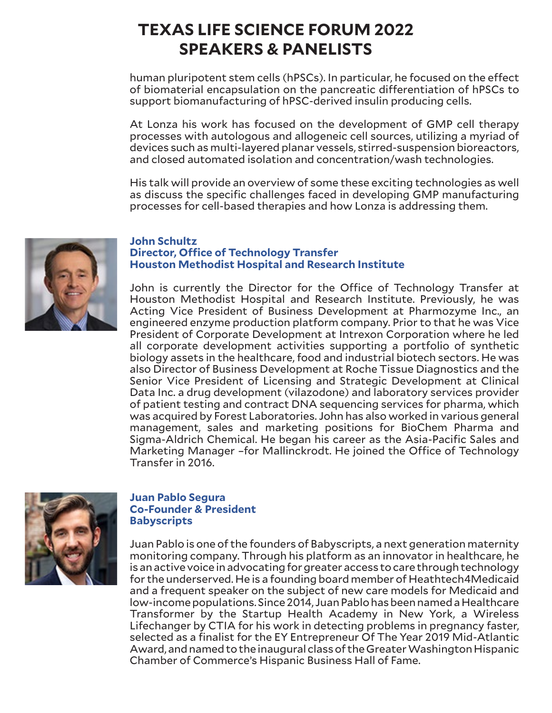human pluripotent stem cells (hPSCs). In particular, he focused on the effect of biomaterial encapsulation on the pancreatic differentiation of hPSCs to support biomanufacturing of hPSC-derived insulin producing cells.

At Lonza his work has focused on the development of GMP cell therapy processes with autologous and allogeneic cell sources, utilizing a myriad of devices such as multi-layered planar vessels, stirred-suspension bioreactors, and closed automated isolation and concentration/wash technologies.

His talk will provide an overview of some these exciting technologies as well as discuss the specific challenges faced in developing GMP manufacturing processes for cell-based therapies and how Lonza is addressing them.



#### **John Schultz Director, Office of Technology Transfer Houston Methodist Hospital and Research Institute**

John is currently the Director for the Office of Technology Transfer at Houston Methodist Hospital and Research Institute. Previously, he was Acting Vice President of Business Development at Pharmozyme Inc., an engineered enzyme production platform company. Prior to that he was Vice President of Corporate Development at Intrexon Corporation where he led all corporate development activities supporting a portfolio of synthetic biology assets in the healthcare, food and industrial biotech sectors. He was also Director of Business Development at Roche Tissue Diagnostics and the Senior Vice President of Licensing and Strategic Development at Clinical Data Inc. a drug development (vilazodone) and laboratory services provider of patient testing and contract DNA sequencing services for pharma, which was acquired by Forest Laboratories. John has also worked in various general management, sales and marketing positions for BioChem Pharma and Sigma-Aldrich Chemical. He began his career as the Asia-Pacific Sales and Marketing Manager –for Mallinckrodt. He joined the Office of Technology Transfer in 2016.



### **Juan Pablo Segura Co-Founder & President Babyscripts**

Juan Pablo is one of the founders of Babyscripts, a next generation maternity monitoring company. Through his platform as an innovator in healthcare, he is an active voice in advocating for greater access to care through technology for the underserved. He is a founding board member of Heathtech4Medicaid and a frequent speaker on the subject of new care models for Medicaid and low-income populations. Since 2014, Juan Pablo has been named a Healthcare Transformer by the Startup Health Academy in New York, a Wireless Lifechanger by CTIA for his work in detecting problems in pregnancy faster, selected as a finalist for the EY Entrepreneur Of The Year 2019 Mid-Atlantic Award, and named to the inaugural class of the Greater Washington Hispanic Chamber of Commerce's Hispanic Business Hall of Fame.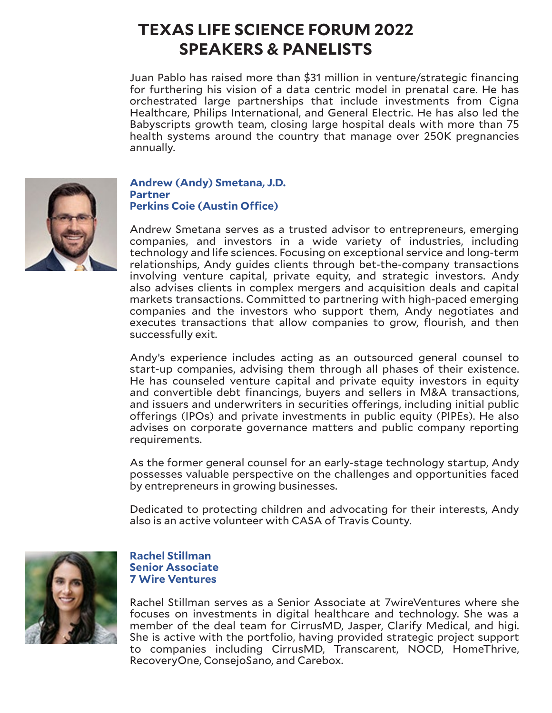Juan Pablo has raised more than \$31 million in venture/strategic financing for furthering his vision of a data centric model in prenatal care. He has orchestrated large partnerships that include investments from Cigna Healthcare, Philips International, and General Electric. He has also led the Babyscripts growth team, closing large hospital deals with more than 75 health systems around the country that manage over 250K pregnancies annually.



**Andrew (Andy) Smetana, J.D. Partner Perkins Coie (Austin Office)**

Andrew Smetana serves as a trusted advisor to entrepreneurs, emerging companies, and investors in a wide variety of industries, including technology and life sciences. Focusing on exceptional service and long-term relationships, Andy guides clients through bet-the-company transactions involving venture capital, private equity, and strategic investors. Andy also advises clients in complex mergers and acquisition deals and capital markets transactions. Committed to partnering with high-paced emerging companies and the investors who support them, Andy negotiates and executes transactions that allow companies to grow, flourish, and then successfully exit.

Andy's experience includes acting as an outsourced general counsel to start-up companies, advising them through all phases of their existence. He has counseled venture capital and private equity investors in equity and convertible debt financings, buyers and sellers in M&A transactions, and issuers and underwriters in securities offerings, including initial public offerings (IPOs) and private investments in public equity (PIPEs). He also advises on corporate governance matters and public company reporting requirements.

As the former general counsel for an early-stage technology startup, Andy possesses valuable perspective on the challenges and opportunities faced by entrepreneurs in growing businesses.

Dedicated to protecting children and advocating for their interests, Andy also is an active volunteer with CASA of Travis County.



### **Rachel Stillman Senior Associate 7 Wire Ventures**

Rachel Stillman serves as a Senior Associate at 7wireVentures where she focuses on investments in digital healthcare and technology. She was a member of the deal team for CirrusMD, Jasper, Clarify Medical, and higi. She is active with the portfolio, having provided strategic project support to companies including CirrusMD, Transcarent, NOCD, HomeThrive, RecoveryOne, ConsejoSano, and Carebox.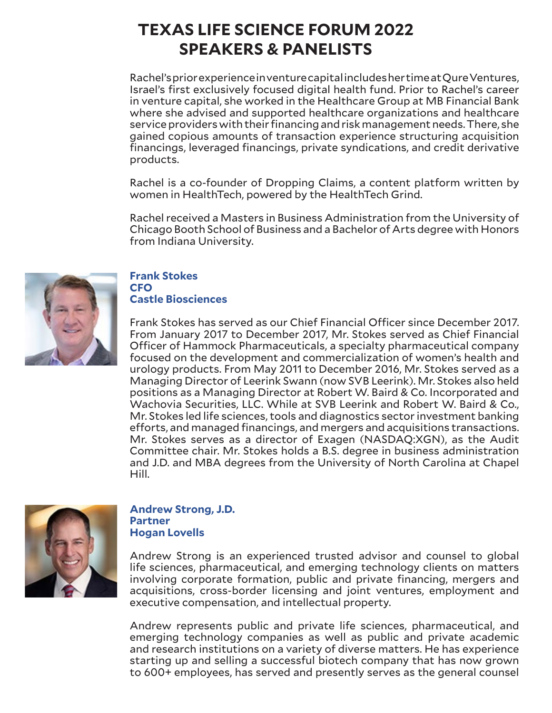Rachel's prior experience in venture capital includes her time at Qure Ventures, Israel's first exclusively focused digital health fund. Prior to Rachel's career in venture capital, she worked in the Healthcare Group at MB Financial Bank where she advised and supported healthcare organizations and healthcare service providers with their financing and risk management needs. There, she gained copious amounts of transaction experience structuring acquisition financings, leveraged financings, private syndications, and credit derivative products.

Rachel is a co-founder of Dropping Claims, a content platform written by women in HealthTech, powered by the HealthTech Grind.

Rachel received a Masters in Business Administration from the University of Chicago Booth School of Business and a Bachelor of Arts degree with Honors from Indiana University.



### **Frank Stokes CFO**

# **Castle Biosciences**

Frank Stokes has served as our Chief Financial Officer since December 2017. From January 2017 to December 2017, Mr. Stokes served as Chief Financial Officer of Hammock Pharmaceuticals, a specialty pharmaceutical company focused on the development and commercialization of women's health and urology products. From May 2011 to December 2016, Mr. Stokes served as a Managing Director of Leerink Swann (now SVB Leerink). Mr. Stokes also held positions as a Managing Director at Robert W. Baird & Co. Incorporated and Wachovia Securities, LLC. While at SVB Leerink and Robert W. Baird & Co., Mr. Stokes led life sciences, tools and diagnostics sector investment banking efforts, and managed financings, and mergers and acquisitions transactions. Mr. Stokes serves as a director of Exagen (NASDAQ:XGN), as the Audit Committee chair. Mr. Stokes holds a B.S. degree in business administration and J.D. and MBA degrees from the University of North Carolina at Chapel Hill.



**Andrew Strong, J.D. Partner Hogan Lovells**

Andrew Strong is an experienced trusted advisor and counsel to global life sciences, pharmaceutical, and emerging technology clients on matters involving corporate formation, public and private financing, mergers and acquisitions, cross-border licensing and joint ventures, employment and executive compensation, and intellectual property.

Andrew represents public and private life sciences, pharmaceutical, and emerging technology companies as well as public and private academic and research institutions on a variety of diverse matters. He has experience starting up and selling a successful biotech company that has now grown to 600+ employees, has served and presently serves as the general counsel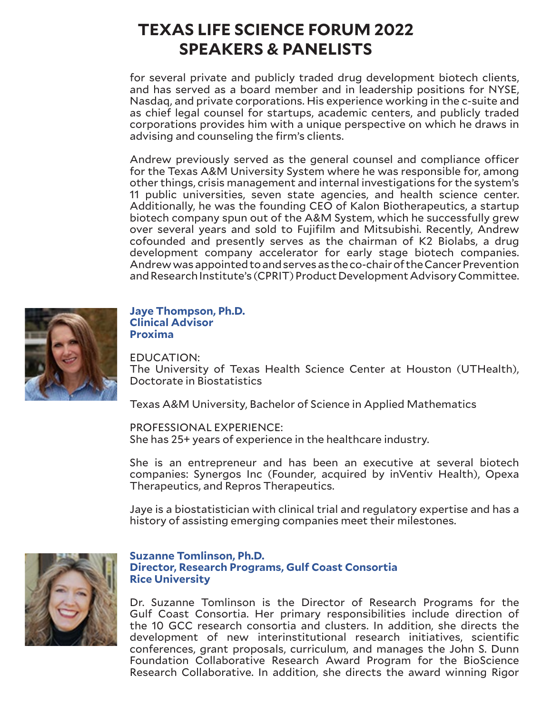for several private and publicly traded drug development biotech clients, and has served as a board member and in leadership positions for NYSE, Nasdaq, and private corporations. His experience working in the c-suite and as chief legal counsel for startups, academic centers, and publicly traded corporations provides him with a unique perspective on which he draws in advising and counseling the firm's clients.

Andrew previously served as the general counsel and compliance officer for the Texas A&M University System where he was responsible for, among other things, crisis management and internal investigations for the system's 11 public universities, seven state agencies, and health science center. Additionally, he was the founding CEO of Kalon Biotherapeutics, a startup biotech company spun out of the A&M System, which he successfully grew over several years and sold to Fujifilm and Mitsubishi. Recently, Andrew cofounded and presently serves as the chairman of K2 Biolabs, a drug development company accelerator for early stage biotech companies. Andrew was appointed to and serves as the co-chair of the Cancer Prevention and Research Institute's (CPRIT) Product Development Advisory Committee.



### **Jaye Thompson, Ph.D. Clinical Advisor Proxima**

EDUCATION:

The University of Texas Health Science Center at Houston (UTHealth), Doctorate in Biostatistics

Texas A&M University, Bachelor of Science in Applied Mathematics

PROFESSIONAL EXPERIENCE: She has 25+ years of experience in the healthcare industry.

She is an entrepreneur and has been an executive at several biotech companies: Synergos Inc (Founder, acquired by inVentiv Health), Opexa Therapeutics, and Repros Therapeutics.

Jaye is a biostatistician with clinical trial and regulatory expertise and has a history of assisting emerging companies meet their milestones.



### **Suzanne Tomlinson, Ph.D. Director, Research Programs, Gulf Coast Consortia Rice University**

Dr. Suzanne Tomlinson is the Director of Research Programs for the Gulf Coast Consortia. Her primary responsibilities include direction of the 10 GCC research consortia and clusters. In addition, she directs the development of new interinstitutional research initiatives, scientific conferences, grant proposals, curriculum, and manages the John S. Dunn Foundation Collaborative Research Award Program for the BioScience Research Collaborative. In addition, she directs the award winning Rigor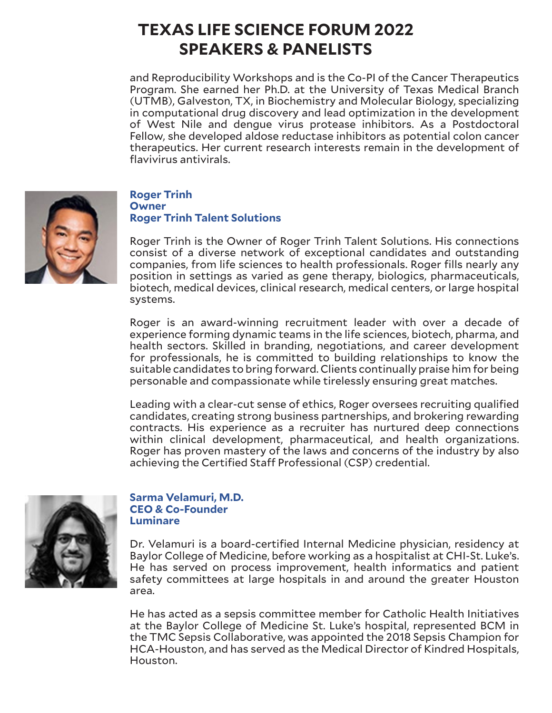and Reproducibility Workshops and is the Co-PI of the Cancer Therapeutics Program. She earned her Ph.D. at the University of Texas Medical Branch (UTMB), Galveston, TX, in Biochemistry and Molecular Biology, specializing in computational drug discovery and lead optimization in the development of West Nile and dengue virus protease inhibitors. As a Postdoctoral Fellow, she developed aldose reductase inhibitors as potential colon cancer therapeutics. Her current research interests remain in the development of flavivirus antivirals.



## **Roger Trinh Owner Roger Trinh Talent Solutions**

Roger Trinh is the Owner of Roger Trinh Talent Solutions. His connections consist of a diverse network of exceptional candidates and outstanding companies, from life sciences to health professionals. Roger fills nearly any position in settings as varied as gene therapy, biologics, pharmaceuticals, biotech, medical devices, clinical research, medical centers, or large hospital systems.

Roger is an award-winning recruitment leader with over a decade of experience forming dynamic teams in the life sciences, biotech, pharma, and health sectors. Skilled in branding, negotiations, and career development for professionals, he is committed to building relationships to know the suitable candidates to bring forward. Clients continually praise him for being personable and compassionate while tirelessly ensuring great matches.

Leading with a clear-cut sense of ethics, Roger oversees recruiting qualified candidates, creating strong business partnerships, and brokering rewarding contracts. His experience as a recruiter has nurtured deep connections within clinical development, pharmaceutical, and health organizations. Roger has proven mastery of the laws and concerns of the industry by also achieving the Certified Staff Professional (CSP) credential.



## **Sarma Velamuri, M.D. CEO & Co-Founder Luminare**

Dr. Velamuri is a board-certified Internal Medicine physician, residency at Baylor College of Medicine, before working as a hospitalist at CHI-St. Luke's. He has served on process improvement, health informatics and patient safety committees at large hospitals in and around the greater Houston area.

He has acted as a sepsis committee member for Catholic Health Initiatives at the Baylor College of Medicine St. Luke's hospital, represented BCM in the TMC Sepsis Collaborative, was appointed the 2018 Sepsis Champion for HCA-Houston, and has served as the Medical Director of Kindred Hospitals, Houston.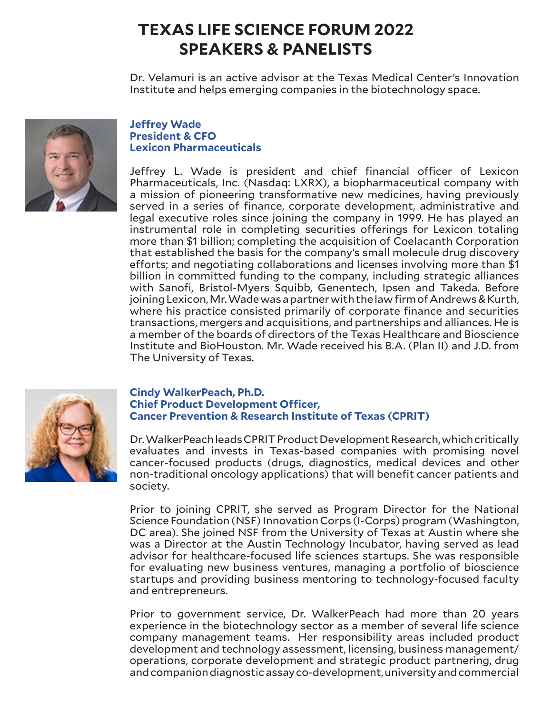Dr. Velamuri is an active advisor at the Texas Medical Center's Innovation Institute and helps emerging companies in the biotechnology space.



# **Jeffrey Wade President & CFO Lexicon Pharmaceuticals**

Jeffrey L. Wade is president and chief financial officer of Lexicon Pharmaceuticals, Inc. (Nasdaq: LXRX), a biopharmaceutical company with a mission of pioneering transformative new medicines, having previously served in a series of finance, corporate development, administrative and legal executive roles since joining the company in 1999. He has played an instrumental role in completing securities offerings for Lexicon totaling more than \$1 billion; completing the acquisition of Coelacanth Corporation that established the basis for the company's small molecule drug discovery efforts; and negotiating collaborations and licenses involving more than \$1 billion in committed funding to the company, including strategic alliances with Sanofi, Bristol-Myers Squibb, Genentech, Ipsen and Takeda. Before joining Lexicon, Mr. Wade was a partner with the law firm of Andrews & Kurth, where his practice consisted primarily of corporate finance and securities transactions, mergers and acquisitions, and partnerships and alliances. He is a member of the boards of directors of the Texas Healthcare and Bioscience Institute and BioHouston. Mr. Wade received his B.A. (Plan II) and J.D. from The University of Texas.



## **Cindy WalkerPeach, Ph.D. Chief Product Development Officer, Cancer Prevention & Research Institute of Texas (CPRIT)**

Dr. WalkerPeach leads CPRIT Product Development Research, which critically evaluates and invests in Texas-based companies with promising novel cancer-focused products (drugs, diagnostics, medical devices and other non-traditional oncology applications) that will benefit cancer patients and society.

Prior to joining CPRIT, she served as Program Director for the National Science Foundation (NSF) Innovation Corps (I-Corps) program (Washington, DC area). She joined NSF from the University of Texas at Austin where she was a Director at the Austin Technology Incubator, having served as lead advisor for healthcare-focused life sciences startups. She was responsible for evaluating new business ventures, managing a portfolio of bioscience startups and providing business mentoring to technology-focused faculty and entrepreneurs.

Prior to government service, Dr. WalkerPeach had more than 20 years experience in the biotechnology sector as a member of several life science company management teams. Her responsibility areas included product development and technology assessment, licensing, business management/ operations, corporate development and strategic product partnering, drug and companion diagnostic assay co-development, university and commercial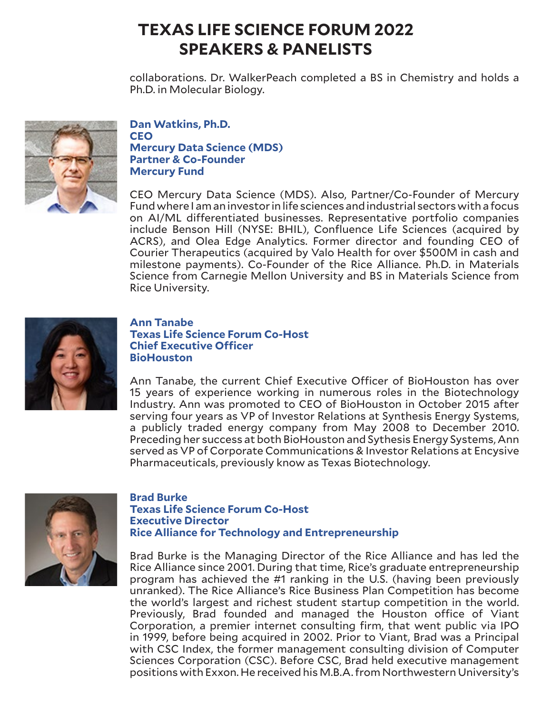collaborations. Dr. WalkerPeach completed a BS in Chemistry and holds a Ph.D. in Molecular Biology.



**Dan Watkins, Ph.D. CEO Mercury Data Science (MDS) Partner & Co-Founder Mercury Fund**

CEO Mercury Data Science (MDS). Also, Partner/Co-Founder of Mercury Fund where I am an investor in life sciences and industrial sectors with a focus on AI/ML differentiated businesses. Representative portfolio companies include Benson Hill (NYSE: BHIL), Confluence Life Sciences (acquired by ACRS), and Olea Edge Analytics. Former director and founding CEO of Courier Therapeutics (acquired by Valo Health for over \$500M in cash and milestone payments). Co-Founder of the Rice Alliance. Ph.D. in Materials Science from Carnegie Mellon University and BS in Materials Science from Rice University.



### **Ann Tanabe Texas Life Science Forum Co-Host Chief Executive Officer BioHouston**

Ann Tanabe, the current Chief Executive Officer of BioHouston has over 15 years of experience working in numerous roles in the Biotechnology Industry. Ann was promoted to CEO of BioHouston in October 2015 after serving four years as VP of Investor Relations at Synthesis Energy Systems, a publicly traded energy company from May 2008 to December 2010. Preceding her success at both BioHouston and Sythesis Energy Systems, Ann served as VP of Corporate Communications & Investor Relations at Encysive Pharmaceuticals, previously know as Texas Biotechnology.



### **Brad Burke Texas Life Science Forum Co-Host Executive Director Rice Alliance for Technology and Entrepreneurship**

Brad Burke is the Managing Director of the Rice Alliance and has led the Rice Alliance since 2001. During that time, Rice's graduate entrepreneurship program has achieved the #1 ranking in the U.S. (having been previously unranked). The Rice Alliance's Rice Business Plan Competition has become the world's largest and richest student startup competition in the world. Previously, Brad founded and managed the Houston office of Viant Corporation, a premier internet consulting firm, that went public via IPO in 1999, before being acquired in 2002. Prior to Viant, Brad was a Principal with CSC Index, the former management consulting division of Computer Sciences Corporation (CSC). Before CSC, Brad held executive management positions with Exxon. He received his M.B.A. from Northwestern University's